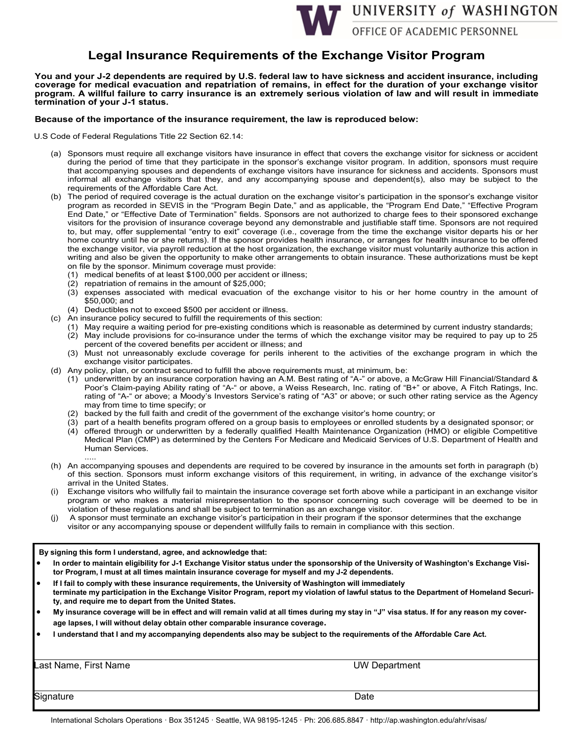

## **Legal Insurance Requirements of the Exchange Visitor Program**

**You and your J-2 dependents are required by U.S. federal law to have sickness and accident insurance, including**  coverage for medical evacuation and repatriation of remains, in effect for the duration of your exchange visitor **program. A willful failure to carry insurance is an extremely serious violation of law and will result in immediate termination of your J-1 status.** 

### **Because of the importance of the insurance requirement, the law is reproduced below:**

U.S Code of Federal Regulations Title 22 Section 62.14:

- (a) Sponsors must require all exchange visitors have insurance in effect that covers the exchange visitor for sickness or accident during the period of time that they participate in the sponsor's exchange visitor program. In addition, sponsors must require that accompanying spouses and dependents of exchange visitors have insurance for sickness and accidents. Sponsors must informal all exchange visitors that they, and any accompanying spouse and dependent(s), also may be subject to the requirements of the Affordable Care Act.
- (b) The period of required coverage is the actual duration on the exchange visitor's participation in the sponsor's exchange visitor program as recorded in SEVIS in the "Program Begin Date," and as applicable, the "Program End Date," "Effective Program End Date," or "Effective Date of Termination" fields. Sponsors are not authorized to charge fees to their sponsored exchange visitors for the provision of insurance coverage beyond any demonstrable and justifiable staff time. Sponsors are not required to, but may, offer supplemental "entry to exit" coverage (i.e., coverage from the time the exchange visitor departs his or her home country until he or she returns). If the sponsor provides health insurance, or arranges for health insurance to be offered the exchange visitor, via payroll reduction at the host organization, the exchange visitor must voluntarily authorize this action in writing and also be given the opportunity to make other arrangements to obtain insurance. These authorizations must be kept on file by the sponsor. Minimum coverage must provide:
	- (1) medical benefits of at least \$100,000 per accident or illness;
	- (2) repatriation of remains in the amount of \$25,000;
	- (3) expenses associated with medical evacuation of the exchange visitor to his or her home country in the amount of \$50,000; and
	- (4) Deductibles not to exceed \$500 per accident or illness.
- (c) An insurance policy secured to fulfill the requirements of this section:
	- (1) May require a waiting period for pre-existing conditions which is reasonable as determined by current industry standards;
	- (2) May include provisions for co-insurance under the terms of which the exchange visitor may be required to pay up to 25 percent of the covered benefits per accident or illness; and
	- (3) Must not unreasonably exclude coverage for perils inherent to the activities of the exchange program in which the exchange visitor participates.
- (d) Any policy, plan, or contract secured to fulfill the above requirements must, at minimum, be:
	- (1) underwritten by an insurance corporation having an A.M. Best rating of "A-" or above, a McGraw Hill Financial/Standard & Poor's Claim-paying Ability rating of "A-" or above, a Weiss Research, Inc. rating of "B+" or above, A Fitch Ratings, Inc. rating of "A-" or above; a Moody's Investors Service's rating of "A3" or above; or such other rating service as the Agency may from time to time specify; or
	- (2) backed by the full faith and credit of the government of the exchange visitor's home country; or
	- (3) part of a health benefits program offered on a group basis to employees or enrolled students by a designated sponsor; or
	- (4) offered through or underwritten by a federally qualified Health Maintenance Organization (HMO) or eligible Competitive Medical Plan (CMP) as determined by the Centers For Medicare and Medicaid Services of U.S. Department of Health and Human Services. .....
- (h) An accompanying spouses and dependents are required to be covered by insurance in the amounts set forth in paragraph (b) of this section. Sponsors must inform exchange visitors of this requirement, in writing, in advance of the exchange visitor's arrival in the United States.
- (i) Exchange visitors who willfully fail to maintain the insurance coverage set forth above while a participant in an exchange visitor program or who makes a material misrepresentation to the sponsor concerning such coverage will be deemed to be in violation of these regulations and shall be subject to termination as an exchange visitor.
- A sponsor must terminate an exchange visitor's participation in their program if the sponsor determines that the exchange visitor or any accompanying spouse or dependent willfully fails to remain in compliance with this section.

#### **By signing this form I understand, agree, and acknowledge that:**

- **In order to maintain eligibility for J-1 Exchange Visitor status under the sponsorship of the University of Washington's Exchange Visitor Program, I must at all times maintain insurance coverage for myself and my J-2 dependents.**
- **If I fail to comply with these insurance requirements, the University of Washington will immediately terminate my participation in the Exchange Visitor Program, report my violation of lawful status to the Department of Homeland Security, and require me to depart from the United States.**
- **My insurance coverage will be in effect and will remain valid at all times during my stay in "J" visa status. If for any reason my coverage lapses, I will without delay obtain other comparable insurance coverage.**
- **I understand that I and my accompanying dependents also may be subject to the requirements of the Affordable Care Act.**

Last Name, First Name UW Department

Signature Date Date of the Date of the Date of the Date of the Date of the Date of the Date of the Date of the